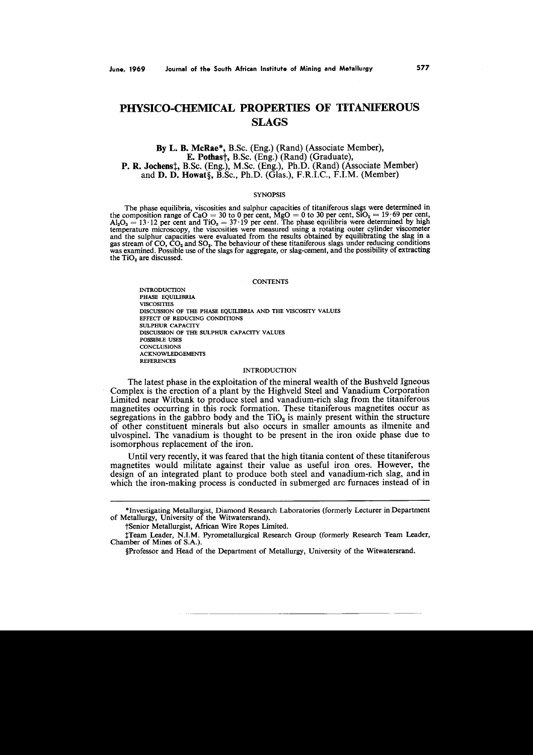# **PHYSICO-CHEMlCAL PROPERTIES OF TITANIFEROUS SLAGS**

By L. B. McRae\*, B.Sc. (Eng.) (Rand) (Associate Member), E. Pothas†, B.Sc. (Eng.) (Rand) (Graduate), P. R. Jochenst. B.Sc. (Eng.), M.Sc. (Eng.), Ph.D. (Rand) (Associate Member) and **D. D. Howat**§, B.Sc., Ph.D. (Glas.), F.R.I.C., F.I.M. (Member)

#### **SYNOPSIS**

The phase equilibria, viscosities and sulphur capacities of titaniferous slags were determined in the composition range of CaO = 30 to 0 per cent,  $MgO = 0$  to 30 per cent,  $\overline{SIO}_2 = 19.69$  per cent  $Al_2O_3 = 13 \cdot 12$  per cent and TiO<sub>2</sub> = 37.19 per cent. The phase equilibria were determined by high<br>temperature microscopy, the viscosities were measured using a rotating outer cylinder viscometer<br>and the sulphur capacit  $\overline{A_1}$ ,  $\overline{O_3}$  = 13.12 per cent and  $\overline{TiO_2}$  = 37.19 per cent. The phase equilibria were determined by high was examined. Possible use of the slags for aggregate, or slag-cement, and the possibility of extracting the TiO<sub>2</sub> are discussed.

### **CONTENTS**

INTRODUCTION PHASE EQUILIBRIA VISCOSITIES DISCUSSION OF THE PHASE EQUILlBRIA AND THE VISCOSITY VALUES EFFECT OF REDUCING CONDITIONS SULPHUR CAPACITY DISCUSSION OF THE SULPHUR CAPACITY VALUES POSSIBLE USES **CONCLUSIONS** ACKNOWLEDGEMENTS **REFERENCES** 

# **INTRODUCTION**

The latest phase in the exploitation of the mineral wealth of the Bushveld Igneous Complex is the erection of a plant by the Highveld Steel and Vanadium Corporation Limited near Witbank to produce steel and vanadium-rich slag from the titaniferous magnetites occurring in this rock formation. These titaniferous magnetites occur as segregations in the gabbro body and the  $TiO<sub>2</sub>$  is mainly present within the structure of other constituent minerals but also occurs in smaller amounts as ilmenite and ulvospinel. The vanadium is thought to be present in the iron oxide phase due to isomorphous replacement of the iron.

Until very recently, it was feared that the high titania content of these titaniferous magnetites would militate against their value as useful iron ores. However, the design of an integrated plant to produce both steel and vanadium-rich slag, and in which the iron-making process is conducted in submerged arc furnaces instead of in

tSenior Metallurgist, African Wire Ropes Limited.

<sup>\*</sup>Investigating Metallurgist, Diamond Research Laboratories (formerly Lecturer in Department of Metallurgy, University of the Witwatersrand).

tTeam Leader, N.I.M. Pyrometallurgical Research Group (formerly Research Team Leader, Chamber of Mines of S.A.).

<sup>§</sup>Professor and Head of the Department of Metallurgy, University of the Witwatersrand.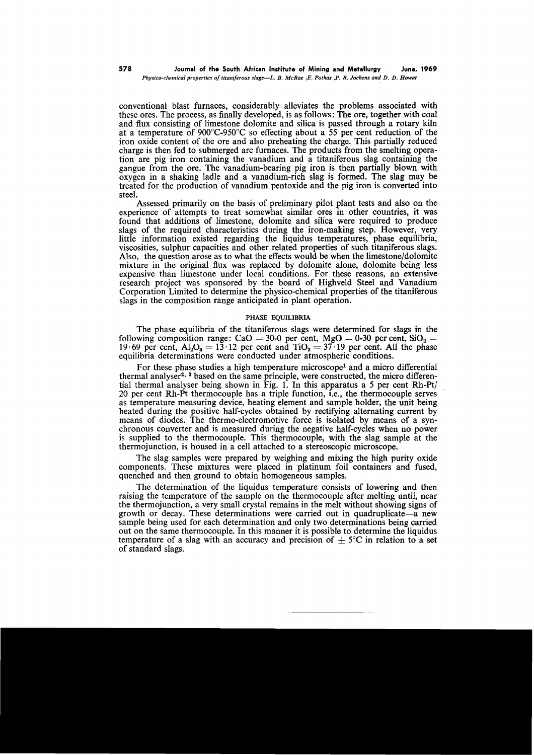conventional blast furnaces, considerably alleviates the problems associated with these ores. The process, as finally developed, is as follows: The ore, together with coal and flux consisting of limestone dolomite and silica is passed through a rotary kiln at a temperature of 900°C-950°C so effecting about a 55 per cent reduction of the iron oxide content of the ore and also preheating the charge. This partially reduced charge is then fed to submerged arc furnaces. The products from the smelting operation are pig iron containing the vanadium and a titaniferous slag containing the gangue from the ore. The vanadium-bearing pig iron is then partially blown with oxygen in a shaking ladle and a vanadium-rich slag is formed. The slag may be treated for the production of vanadium pentoxide and the pig iron is converted into steel.

Assessed primarily on the basis of preliminary pilot plant tests and also on the experience of attempts to treat somewhat similar ores in other countries, it was found that additions of limestone, dolomite and silica were required to produce slags of the required characteristics during the iron-making step. However, very little information existed regarding the liquidus temperatures, phase equilibria, viscosities, sulphur capacities and other related properties of such titaniferous slags. Also, the question arose as to what the effects would be when the limestone/dolomite mixture in the original flux was replaced by dolomite alone, dolomite being less expensive than limestone under local conditions. For these reasons, an extensive research project was sponsored by the board of Highveld Steel and Vanadium Corporation Limited to determine the physico-chemical properties of the titaniferous slags in the composition range anticipated in plant operation.

# PHASE EQUlLlBRIA

The phase equilibria of the titaniferous slags were determined for slags in the following composition range: CaO = 30-0 per cent, MgO = 0-30 per cent,  $SiO_2$  = 19.69 per cent,  $Al_2O_3 = 13.12$  per cent and  $TiO_2 = 37.19$  per cent. All the phase equilibria determinations were conducted under atmospheric conditions.

For these phase studies a high temperature microscope<sup>1</sup> and a micro differential thermal analyser<sup>2, 3</sup> based on the same principle, were constructed, the micro differential thermal analyser being shown in Fig. 1. In this apparatus a 5 per cent  $Rh-Pt/$ 20 per cent Rh-Pt thermocouple has a triple function, i.e., the thermocouple serves as temperature measuring device, heating element and sample holder, the unit being heated during the positive half-cycles obtained by rectifying alternating current by means of diodes. The thermo-electromotive force is isolated by means of a synchronous converter and is measured during the negative half-cycles when no power is supplied to the thermocouple. This thermocouple, with the slag sample at the thermojunction, is housed in a cell attached to a stereoscopic microscope.

The slag samples were prepared by weighing and mixing the high purity oxide components. These mixtures were placed in platinum foil containers and fused, quenched and then ground to obtain homogeneous samples.

The determination of the liquidus temperature consists of lowering and then raising the temperature of the sample on the thermocouple after melting until, near the thermojunction, a very small crystal remains in the melt without showing signs of growth or decay. These determinations were carried out in quadruplicate-a new sample being used for each determination and only two determinations being carried out on the same thermocouple. In this manner it is possible to determine the liquidus temperature of a slag with an accuracy and precision of  $+5^{\circ}$ C in relation to a set of standard slags.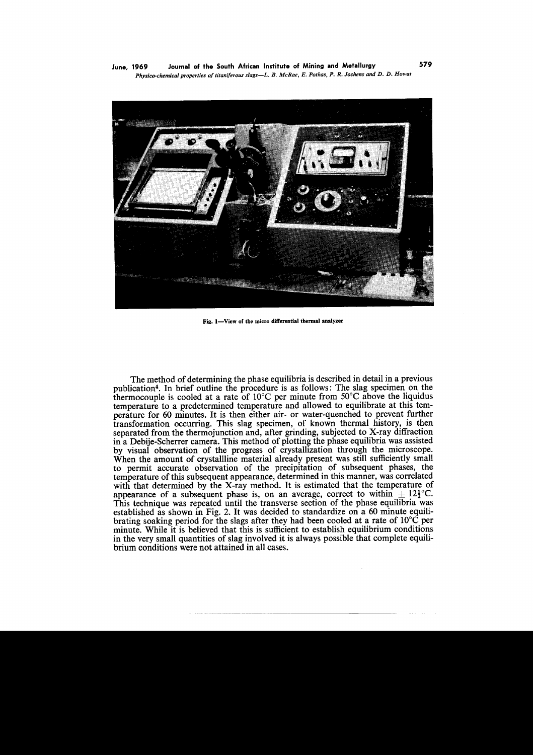

Fig. 1-View of the micro differential thermal analyzer

The method of determining the phase equilibria is described in detail in a previous publication'. In brief outline the procedure is as follows: The slag specimen on the thermocouple is cooled at a rate of  $10^{\circ}$ C per minute from  $50^{\circ}$ C above the liquidus temperature to a predetermined temperature and allowed to equilibrate at this temperature for 60 minutes. It is then either air- or water-quenched to prevent further transformation occurring. This slag specimen, of known thermal history, is then separated from the thermojunction and, after grinding, subjected to X-ray diffraction in a Debije-Scherrer camera. This method of plotting the phase equilibria was assisted by visual observation of the progress of crystallization through the microscope. When the amount of crystallline material already present was still sufficiently small to permit accurate observation of the precipitation of subsequent phases, the temperature of this subsequent appearance, determined in this manner, was correlated with that determined by the X-ray method. It is estimated that the temperature of appearance of a subsequent phase is, on an average, correct to within  $\pm 12\frac{1}{2}^{\circ}C$ . This technique was repeated until the transverse section of the phase equilibria was established as shown in Fig. 2. It was decided to standardize on a 60 minute equilibrating soaking period for the slags after they had been cooled at a rate of  $10^{\circ}$ C per minute. While it is believed that this is sufficient to establish equilibrium conditions in the very small quantities of slag involved it is always possible that complete equilibrium conditions were not attained in all cases.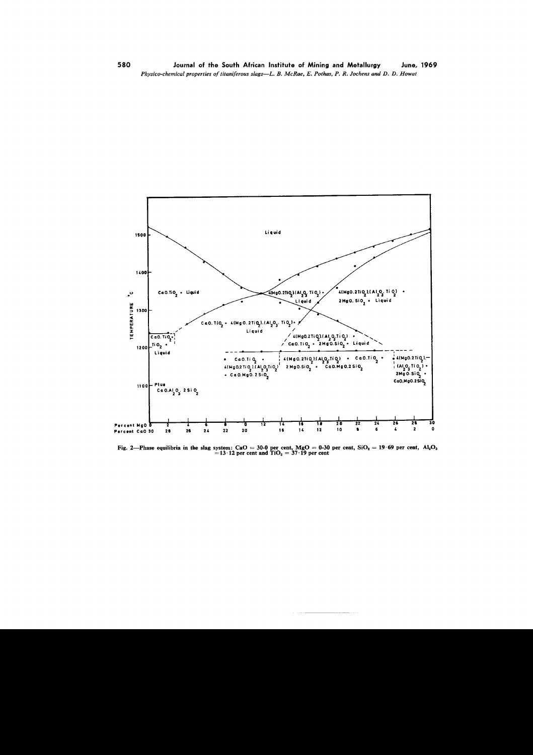

Fig. 2—Phase equilibria in the slag system: CaO = 30-0 per cent, MgO = 0-30 per cent, SiO<sub>2</sub> = 19.69 per cent, Al<sub>2</sub>O<sub>3</sub> = 13.12 per cent and TiO<sub>2</sub> = 37.19 per cent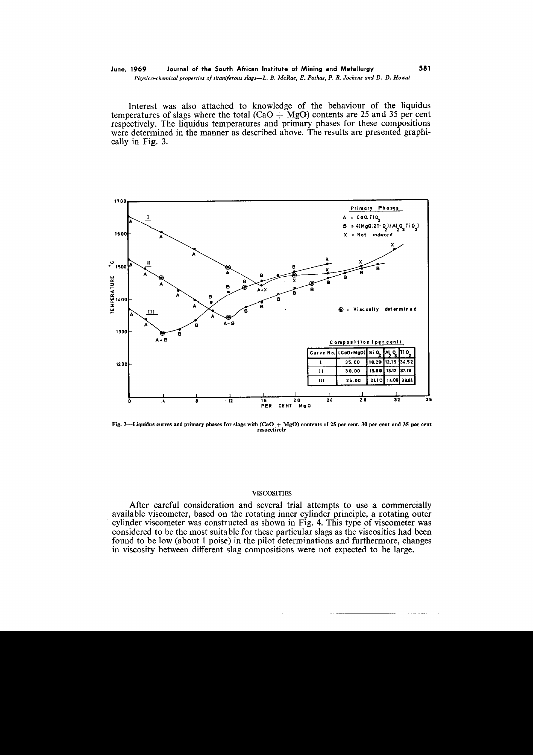Interest was also attached to knowledge of the behaviour of the liquidus temperatures of slags where the total  $(CaO + MgO)$  contents are 25 and 35 per cent respectively. The liquidus temperatures and primary phases for these compositions were determined in the manner as described above. The results are presented graphically in Fig. 3.



Fig. 3—Liquidus curves and primary phases for slags with  $(CaO + MgO)$  contents of 25 per cent, 30 per cent and 35 per cent respectively

# **VISCOSITIES**

After careful consideration and several trial attempts to use a commercially available viscometer, based on the rotating inner cylinder principle, a rotating outer cylinder viscometer was constructed as shown in Fig. 4. This type of viscometer was considered to be the most suitable for these particular slags as the viscosities had been found to be low (about 1 poise) in the pilot determinations and furthermore, changes in viscosity between different slag compositions were not expected to be large.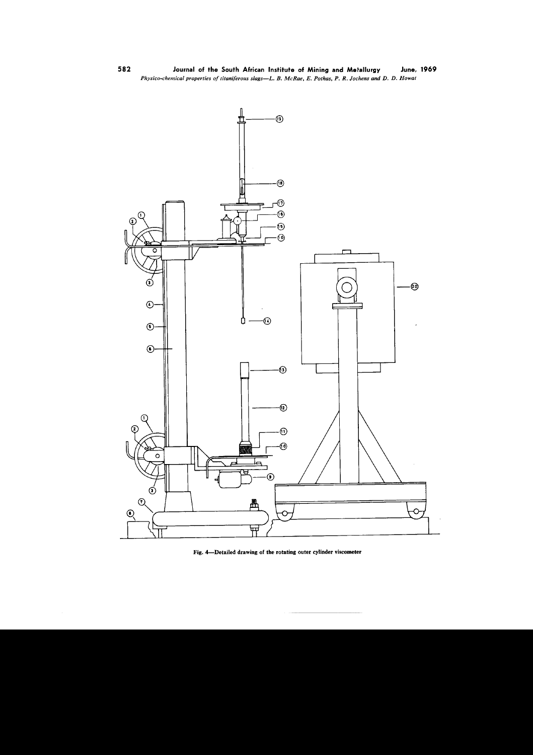

Fig. 4-Detailed drawing of the rotating outer cylinder viscometer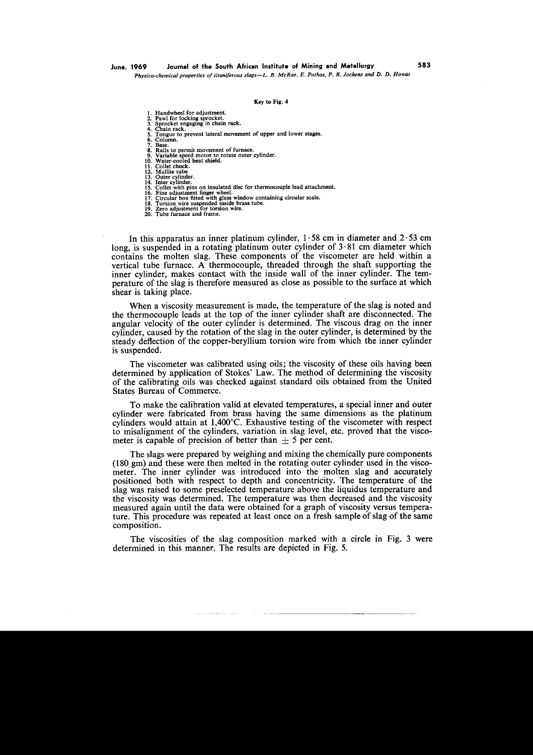# June, 1969 Journal of the South African Institute of Mining and Metallurgy 583

*Physico-chemicalpropertiesoititani/erousslags-L. B. McRae, E. Pothas,P. R. Jochensand D. D. Howat*

#### Key to Fig. 4

1. Handwheel for adjustment.

- 2. Pawl for locking sprocket.
- 
- 3. Sprocket engaging in chain rack. 4. Chain rack. 5. Tongue to prevent lateral movement of upper and lower stages. 6. Column.

6. Colui<br>7. Base.

- 
- 8. Rails to permit movement of furnace. 9. Variable speed motor to rotate outer cylinder. 10. Water-cooled heat shield.
- 
- 11. Collet chuck.<br>12. Mullite tube
- 
- 
- 12. Mullite tube<br>13. Outer cylinder.<br>14. Inter cylinder.<br>14. Inter cylinder.<br>16. Collet with pins on insulated disc for thermocouple lead attachment<br>16. Fine adjustment finger wheel.<br>17. Circular box fitted with glass wind
- 
- 
- 
- 20. Tube furnace and frame.

In this apparatus an inner platinum cylinder,  $1.58$  cm in diameter and  $2.53$  cm long, is suspended in a rotating platinum outer cylinder of  $3.81$  cm diameter which contains the molten slag. These components of the viscometer are held within a vertical tube furnace. A thermocouple, threaded through the shaft supporting the inner cylinder, makes contact with the inside wall of the inner cylinder. The temperature of the slag is therefore measured as close as possible to the surface at which shear is taking place.

When a viscosity measurement is made, the temperature of the slag is noted and the thermocouple leads at the top of the inner cylinder shaft are disconnected. The angular velocity of the outer cylinder is determined. The viscous drag on the inner cylinder, caused by the rotation of the slag in the outer cylinder, is determined by the steady deflection of the copper-beryllium torsion wire from which the inner cylinder is suspended.

The viscometer was calibrated using oils; the viscosity of these oils having been determined by application of Stokes' Law. The method of determining the viscosity of the calibrating oils was checked against standard oils obtained from the United States Bureau of Commerce.

To make the calibration valid at elevated temperatures, a special inner and outer cylinder were fabricated from brass having the same dimensions as the platinum cylinders would attain at 1,400°c. Exhaustive testing of the viscometer with respect to misalignment of the cylinders, variation in slag level, etc. proved that the viscometer is capable of precision of better than  $\pm$  5 per cent.

The slags were prepared by weighing and mixing the chemically pure components (180 gm) and these were then melted in the rotating outer cylinder used in the viscometer. The inner cylinder was introduced into the molten slag and accurately positioned both with respect to depth and concentricity. The temperature of the slag was raised to some preselected temperature above the liquidus temperature and the viscosity was determined. The temperature was then decreased and the viscosity measured again until the data were obtained for a graph of viscosity versus temperature. This procedure was repeated at least once on a fresh sample of slag of the same composition.

The viscosities of the slag composition marked with a circle in Fig. 3 were determined in this manner. The results are depicted in Fig. 5.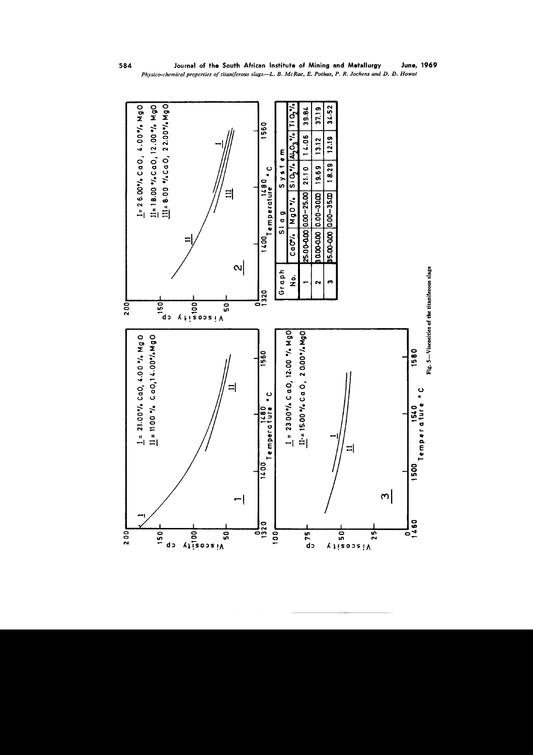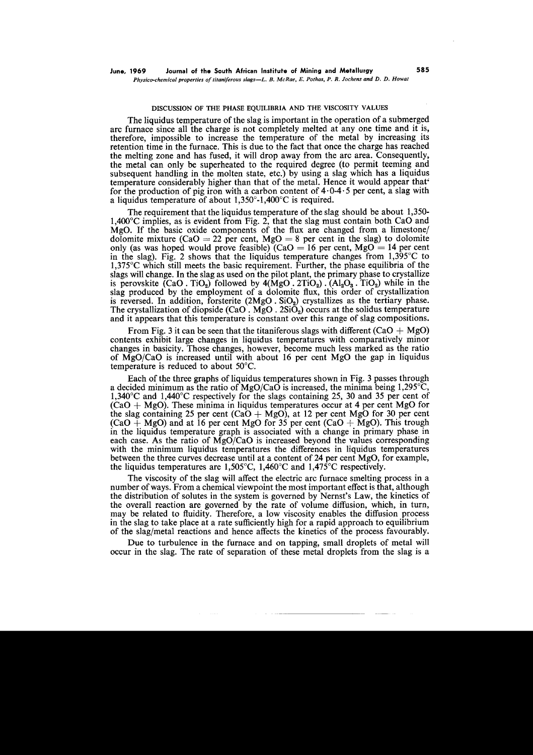## DISCUSSION OF THE PHASE EQUlLlBRIA AND THE VISCOSITY VALUES

The liquidus temperature of the slag is important in the operation of a submerged arc furnace since all the charge is not completely melted at anyone time and it is, therefore, impossible to increase the temperature of the metal by increasing its retention time in the furnace. This is due to the fact that once the charge has reached the melting zone and has fused, it will drop away from the arc area. Consequently, the metal can only be superheated to the required degree (to permit teeming and subsequent handling in the molten state, etc.) by using a slag which has a liquidus temperature considerably higher than that of the metal. Hence it would appear that' for the production of pig iron with a carbon content of  $4.0-4.5$  per cent, a slag with a liquidus temperature of about  $1,350^{\circ}$ -1,400°C is required.

The requirement that the liquidus temperature of the slag should be about 1,350- 1,400°C implies, as is evident from Fig. 2, that the slag must contain both CaO and MgO. If the basic oxide components of the flux are changed from a limestone/ dolomite mixture (CaO = 22 per cent, MgO = 8 per cent in the slag) to dolomite only (as was hoped would prove feasible)  $(CaO = 16$  per cent, MgO = 14 per cent in the slag). Fig. 2 shows that the liquidus temperature changes from  $1,395^{\circ}$ C to 1,375°C which still meets the basic requirement. Further, the phase equilibria of the slags will change. In the slag as used on the pilot plant, the primary phase to crystallize is perovskite  $(CaO. TiO<sub>2</sub>)$  followed by  $4(MgO. 2TiO<sub>2</sub>)$ .  $(Al<sub>2</sub>O<sub>3</sub>$ . TiO<sub>2</sub>) while in the slag produced by the employment of a dolomite flux, this order of crystallization is reversed. In addition, forsterite  $(2MgO \tImes)$  crystallizes as the tertiary phase. The crystallization of diopside  $(CaO)$ .  $MgO$ .  $2Si\overline{O}$ <sub>2</sub>) occurs at the solidus temperature and it appears that this temperature is constant over this range of slag compositions.

From Fig. 3 it can be seen that the titaniferous slags with different (CaO  $+$  MgO) contents exhibit large changes in liquidus temperatures with comparatively minor changes in basicity. Those changes, however, become much less marked as the ratio of *MgOjCaO* is increased until with about 16 per cent MgO the gap in liquidus temperature is reduced to about 50°C.

Each of the three graphs of liquidus temperatures shown in Fig. 3 passes through a decided minimum as the ratio of *MgOjCaO* is increased, the minima being 1,295°C, 1,340°C and 1,440°C respectively for the slags containing 25, 30 and 35 per cent of  $(CaO + MgO)$ . These minima in liquidus temperatures occur at 4 per cent MgO for the slag containing 25 per cent (CaO + MgO), at 12 per cent MgO for 30 per cent  $(CaO + MgO)$  and at 16 per cent MgO for 35 per cent  $(CaO + MgO)$ . This trough in the liquidus temperature graph is associated with a change in primary phase in each case. As the ratio of *MgOjCaO* is increased beyond the values corresponding with the minimum liquidus temperatures the differences in liquidus temperatures between the three curves decrease until at a content of 24 per cent MgO, for example, the liquidus temperatures are 1,505°C, 1,460°C and 1,475°C respectively.

The viscosity of the slag will affect the electric arc furnace smelting process in a number of ways. From a chemical viewpoint the most important effect is that, although the distribution of solutes in the system is governed by Nernst's Law, the kinetics of the overall reaction are governed by the rate of volume diffusion, which, in turn, may be related to fluidity. Therefore, a low viscosity enables the diffusion process in the slag to take place at a rate sufficiently high for a rapid approach to equilibrium of the slag/metal reactions and hence affects the kinetics of the process favourably.

Due to turbulence in the furnace and on tapping, small droplets of metal will occur in the slag. The rate of separation of these metal droplets from the slag is a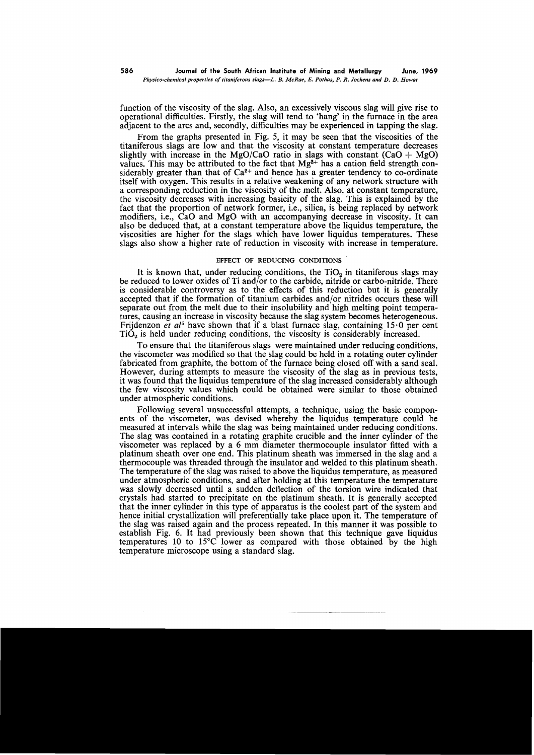function of the viscosity of the slag. Also, an excessively viscous slag will give rise to operational difficulties. Firstly, the slag will tend to 'hang' in the furnace in the area adjacent to the arcs and, secondly, difficulties may be experienced in tapping the slag.

From the graphs presented in Fig. 5, it may be seen that the viscosities of the titaniferous slags are low and that the viscosity at constant temperature decreases slightly with increase in the MgO/CaO ratio in slags with constant  $(CaO + MgO)$ values. This may be attributed to the fact that  $Mg^{2+}$  has a cation field strength considerably greater than that of  $Ca^{2+}$  and hence has a greater tendency to co-ordinate itself with oxygen. This results in a relative weakening of any network structure with a corresponding reduction in the viscosity of the melt. Also, at constant temperature, the viscosity decreases with increasing basicity of the slag. This is explained by the fact that the proportion of network former, i.e., silica, is being replaced by network modifiers, i.e., CaO and MgO with an accompanying decrease in viscosity. It can also be deduced that, at a constant temperature above the liquidus temperature, the viscosities are higher for the slags which have lower liquidus temperatures. These slags also show a higher rate of reduction in viscosity with increase in temperature.

# EFFECT OF REDUCING CONDITIONS

It is known that, under reducing conditions, the  $TiO<sub>2</sub>$  in titaniferous slags may be reduced to lower oxides of Ti and/or to the carbide, nitride or carbo-nitride. There is considerable controversy as to the effects of this reduction but it is generally accepted that if the formation of titanium carbides and/or nitrides occurs these will separate out from the melt due to their insolubility and high melting point temperatures, causing an increase in viscosity because the slag system becomes heterogeneous. Frijdenzon *et al5* have shown that if a blast furnace slag, containing 15. 0 per cent  $TiO<sub>2</sub>$  is held under reducing conditions, the viscosity is considerably increased.

To ensure that the titaniferous slags were maintained under reducing conditions, the viscometer was modified so that the slag could be held in a rotating outer cylinder fabricated from graphite, the bottom of the furnace being closed off with a sand seal. However, during attempts to measure the viscosity of the slag as in previous tests, it was found that the liquidus temperature of the slag increased considerably although the few viscosity values which could be obtained were similar to those obtained under atmospheric conditions.

Following several unsuccessful attempts, a technique, using the basic components of the viscometer, was devised whereby the liquidus temperature could be measured at intervals while the slag was being maintained under reducing conditions. The slag was contained in a rotating graphite crucible and the inner cylinder of the viscometer was replaced by a 6 mm diameter thermocouple insulator fitted with a platinum sheath over one end. This platinum sheath was immersed in the slag and a thermocouple was threaded through the insulator and welded to this platinum sheath. The temperature of the slag was raised to above the liquidus temperature, as measured under atmospheric conditions, and after holding at this temperature the temperature was slowly decreased until a sudden deflection of the torsion wire indicated that crystals had started to precipitate on the platinum sheath. It is generally accepted that the inner cylinder in this type of apparatus is the coolest part of the system and hence initial crystallization will preferentially take place upon it. The temperature of the slag was raised again and the process repeated. In this manner it was possible to establish Fig. 6. It had previously been shown that this technique gave liquidus temperatures 10 to 15°C lower as compared with those obtained by the high temperature microscope using a standard slag.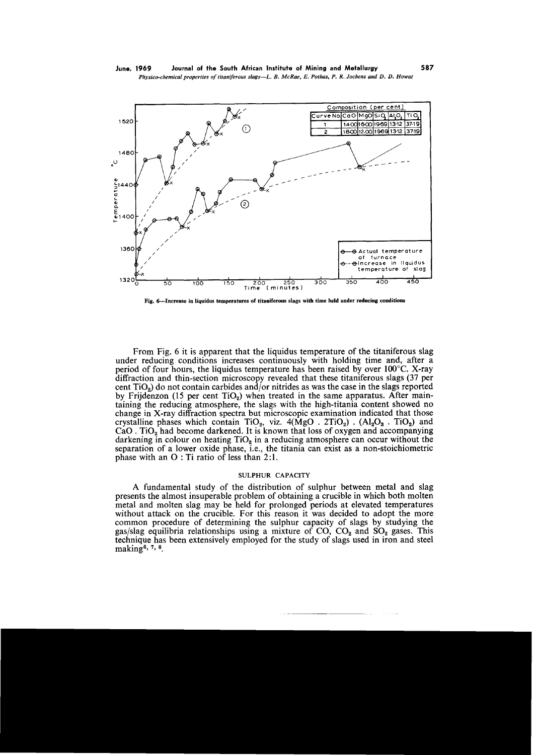

Fig. 6--Increase in liquidus temperatures of titaniferous slags with time held under reducing conditions

From Fig. 6 it is apparent that the liquidus temperature of the titaniferous slag under reducing conditions increases continuously with holding time and, after a period of four hours, the liquidus temperature has been raised by over 100°c. X-ray diffraction and thin-section microscopy revealed that these titaniferous slags (37 per cent  $TiO<sub>2</sub>$ ) do not contain carbides and/or nitrides as was the case in the slags reported by Frijdenzon (15 per cent  $TiO<sub>2</sub>$ ) when treated in the same apparatus. After maintaining the reducing atmosphere, the slags with the high-titania content showed no change in X-ray diffraction spectra but microscopic examination indicated that those crystalline phases which contain TiO<sub>2</sub>, viz.  $4(\text{MgO} \cdot 2\text{TiO}_2)$ .  $(\text{Al}_2\text{O}_3 \cdot \text{TiO}_2)$  and  $CaO$ . TiO<sub>2</sub> had become darkened. It is known that loss of oxygen and accompanying darkening in colour on heating  $TiO<sub>2</sub>$  in a reducing atmosphere can occur without the separation of a lower oxide phase, i.e., the titania can exist as a non-stoichiometric phase with an  $O:$  Ti ratio of less than 2:1.

# SULPHUR CAPACITY

A fundamental study of the distribution of sulphur between metal and slag presents the almost insuperable problem of obtaining a crucible in which both molten metal and molten slag may be held for prolonged periods at elevated temperatures without attack on the crucible. For this reason it was decided to adopt the more common procedure of determining the sulphur capacity of slags by studying the gas/slag equilibria relationships using a mixture of  $CO$ ,  $CO<sub>2</sub>$  and  $SO<sub>2</sub>$  gases. This technique has been extensively employed for the study of slags used in iron and steel making<sup>6, 7, 8</sup>.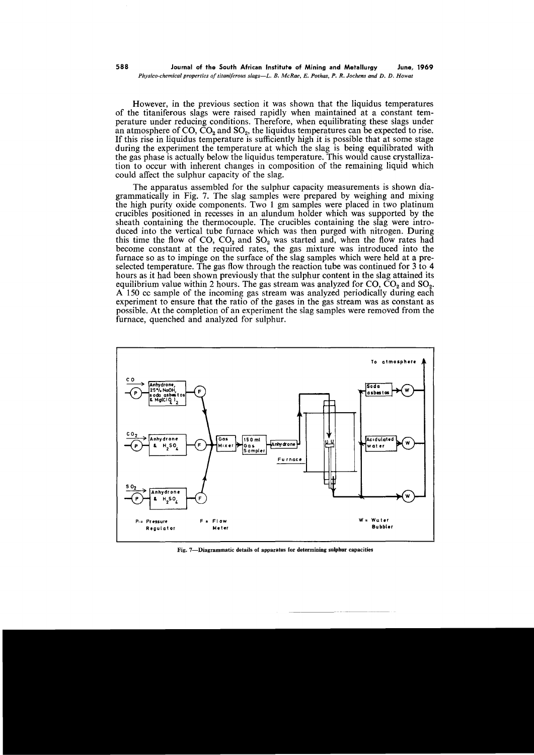However, in the previous section it was shown that the liquidus temperatures of the titaniferous slags were raised rapidly when maintained at a constant temperature under reducing conditions. Therefore, when equilibrating these slags under an atmosphere of CO,  $CO<sub>2</sub>$  and SO<sub>2</sub>, the liquidus temperatures can be expected to rise. If this rise in liquidus temperature is sufficiently high it is possible that at some stage during the experiment the temperature at which the slag is being equilibrated with the gas phase is actually below the liquidus temperature. This would cause crystallization to occur with inherent changes in composition of the remaining liquid which could affect the sulphur capacity of the slag.

The apparatus assembled for the sulphur capacity measurements is shown diagrammatically in Fig. 7. The slag samples were prepared by weighing and mixing the high purity oxide components. Two I gm samples were placed in two platinum crucibles positioned in recesses in an alundum holder which was supported by the sheath containing the thermocouple. The crucibles containing the slag were introduced into the vertical tube furnace which was then purged with nitrogen. During this time the flow of CO,  $CO_2$  and  $SO_2$  was started and, when the flow rates had become constant at the required rates, the gas mixture was introduced into the furnace so as to impinge on the surface of the slag samples which were held at a preselected temperature. The gas flow through the reaction tube was continued for 3 to 4 hours as it had been shown previously that the sulphur content in the slag attained its equilibrium value within 2 hours. The gas stream was analyzed for  $CO$ ,  $CO<sub>2</sub>$  and  $SO<sub>2</sub>$ . A 150 cc sample of the incoming gas stream was analyzed periodically during each experiment to ensure that the ratio of the gases in the gas stream was as constant as possible. At the completion of an experiment the slag samples were removed from the furnace, quenched and analyzed for sulphur.



Fig. 7-Diagrammatic details of apparatus for determining sulphur capacities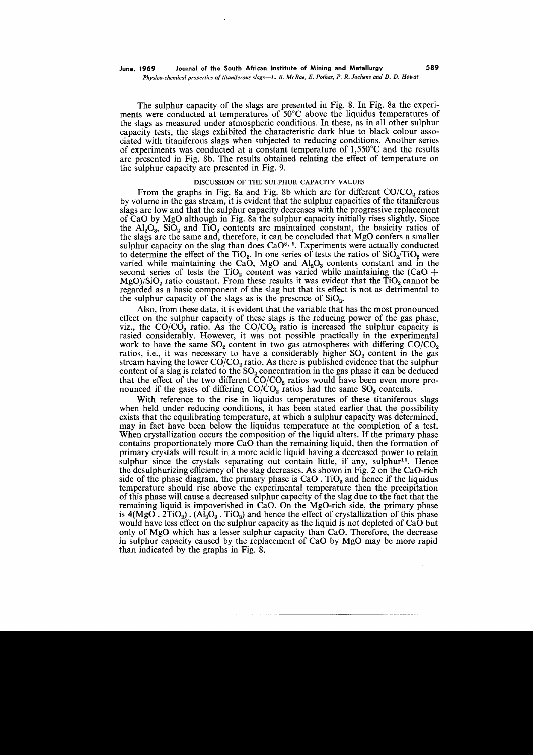The sulphur capacity of the slags are presented in Fig. 8. In Fig. 8a the experiments were conducted at temperatures of 50°C above the liquidus temperatures of the slags as measured under atmospheric conditions. In these, as in all other sulphur capacity tests, the slags exhibited the characteristic dark blue to black colour associated with titaniferous slags when subjected to reducing conditions. Another series of experiments was conducted at a constant temperature of  $1,550^{\circ}$ C and the results are presented in Fig. 8b. The results obtained relating the effect of temperature on the sulphur capacity are presented in Fig. 9.

## DISCUSSION OF THE SULPHUR CAPACITY VALUES

From the graphs in Fig. 8a and Fig. 8b which are for different  $CO/CO<sub>9</sub>$  ratios by volume in the gas stream, it is evident that the sulphur capacities of the titaniferous slags are low and that the sulphur capacity decreases with the progressive replacement of CaO by MgO although in Fig. 8a the sulphur capacity initially rises slightly. Since the  $Al_2O_3$ ,  $SiO_2$  and  $TiO_2$  contents are maintained constant, the basicity ratios of the slags are the same and, therefore, it can be concluded that MgO confers a smaller sulphur capacity on the slag than does  $CaO<sup>8, 9</sup>$ . Experiments were actually conducted to determine the effect of the TiO<sub>2</sub>. In one series of tests the ratios of  $SiO_2/TiO_2$  were varied while maintaining the CaO, MgO and  $Al_2O_3$  contents constant and in the second series of tests the TiO<sub>2</sub> content was varied while maintaining the (CaO + MgO)/SiO<sub>2</sub> ratio constant. From these results it was evident that the  $TiO<sub>2</sub>$  cannot be regarded as a basic component of the slag but that its effect is not as detrimental to the sulphur capacity of the slags as is the presence of  $SiO<sub>2</sub>$ .

Also, from these data, it is evident that the variable that has the most pronounced effect on the sulphur capacity of these slags is the reducing power of the gas phase, viz., the  $CO/CO<sub>2</sub>$  ratio. As the  $CO/CO<sub>2</sub>$  ratio is increased the sulphur capacity is rasied considerably. However, it was not possible practically in the experimental work to have the same  $SO_2$  content in two gas atmospheres with differing  $CO/CO_2$ ratios, i.e., it was necessary to have a considerably higher  $SO_2$  content in the gas stream having the lower  $CO/CO<sub>2</sub>$  ratio. As there is published evidence that the sulphur content of a slag is related to the  $SO<sub>2</sub>$  concentration in the gas phase it can be deduced that the effect of the two different  $CO/CO<sub>2</sub>$  ratios would have been even more pronounced if the gases of differing  $CO/CO<sub>2</sub>$  ratios had the same  $SO<sub>2</sub>$  contents.

With reference to the rise in liquidus temperatures of these titaniferous slags when held under reducing conditions, it has been stated earlier that the possibility exists that the equilibrating temperature, at which a sulphur capacity was determined, may in fact have been below the liquidus temperature at the completion of a test. When crystallization occurs the composition of the liquid alters. If the primary phase contains proportionately more CaO than the remaining liquid, then the formation of primary crystals will result in a more acidic liquid having a decreased power to retain sulphur since the crystals separating out contain little, if any, sulphur<sup>10</sup>. Hence the desulphurizing efficiency of the slag decreases. As shown in Fig. 2 on the CaO-rich side of the phase diagram, the primary phase is  $CaO$ . TiO<sub>2</sub> and hence if the liquidus temperature should rise above the experimental temperature then the precipitation of this phase will cause a decreased sulphur capacity of the slag due to the fact that the remaining liquid is impoverished in CaO. On the MgO-rich side, the primary phase is  $4(MgO. 2TiO<sub>2</sub>)$ . (Al<sub>2</sub>O<sub>3</sub>. TiO<sub>2</sub>) and hence the effect of crystallization of this phase would have less effect on the sulphur capacity as the liquid is not depleted of CaO but only of MgO which has a lesser sulphur capacity than CaO. Therefore, the decrease in sulphur capacity caused by the replacement of CaO by MgO may be more rapid than indicated by the graphs in Fig. 8.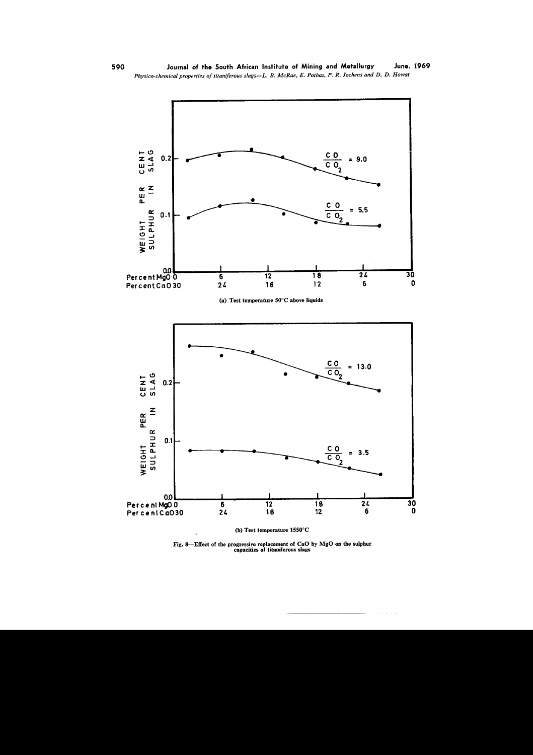

Fig. 8—Effect of the progressive replacement of CaO by MgO on the sulphur capacities of titaniferous slags

590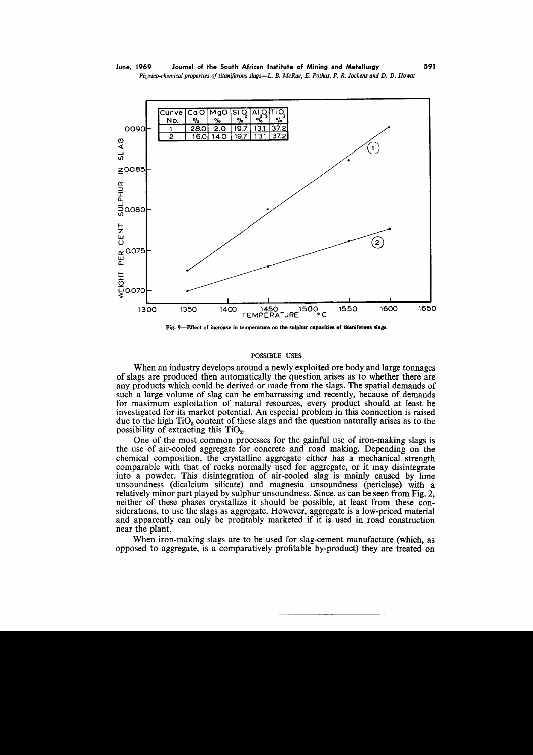

Fig. 9-Effect of increase in temperature on the sulphur capacities of titaniferous slags

#### POSSIBLE USES

When an industry develops around a newly exploited ore body and large tonnages of slags are produced then automatically the question arises as to whether there are any products which could be derived or made from the slags. The spatial demands of such a large volume of slag can be embarrassing and recently, because of demands for maximum exploitation of natural resources, every product should at least be investigated for its market potential. An especial problem in this connection is raised due to the high  $TiO<sub>2</sub>$  content of these slags and the question naturally arises as to the possibility of extracting this  $TiO<sub>2</sub>$ .

One of the most common processes for the gainful use of iron-making slags is the use of air-cooled aggregate for concrete and road making. Depending on the chemical composition, the crystalline aggregate either has a mechanical strength comparable with that of rocks normally used for aggregate, or it may disintegrate into a powder. This disintegration of air-cooled slag is mainly caused by lime unsoundness (dicalcium silicate) and magnesia unsoundness (periclase) with a relatively minor part played by sulphur unsoundness. Since, as can be seen from Fig. 2, neither of these phases crystallize it should be possible, at least from these considerations, to use the slags as aggregate. However, aggregate is a low-priced material and apparently can only be profitably marketed if it is. used in road construction near the plant.

When iron-making slags are to be used for slag-cement manufacture (which, as opposed to aggregate, is a comparatively profitable by-product) they are treated on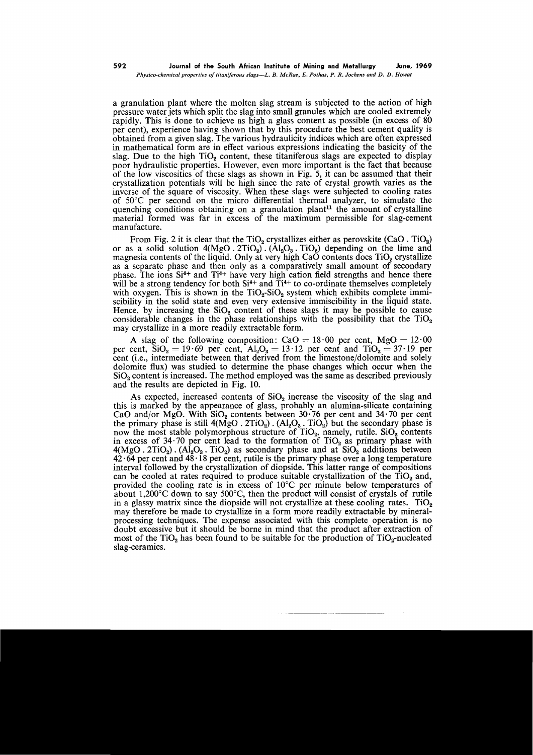a granulation plant where the molten slag stream is subjected to the action of high pressure water jets which split the slag into small granules which are cooled extremely rapidly. This is done to achieve as high a glass content as possible (in excess of 80 per cent), experience having shown that by this procedure the best cement quality is obtained from a given slag. The various hydraulicity indices which are often expressed in mathematical form are in effect various expressions indicating the basicity of the slag. Due to the high  $TiO<sub>2</sub>$  content, these titaniferous slags are expected to display poor hydraulistic properties. However, even more important is the fact that because of the low viscosities of these slags as shown in Fig. 5, it can be assumed that their crystallization potentials will be high since the rate of crystal growth varies as the inverse of the square of viscosity. When these slags were subjected to cooling rates of 50°C per second on the micro differential thermal analyzer, to simulate the quenching conditions obtaining on a granulation plant<sup>11</sup> the amount of crystalline material formed was far in excess of the maximum permissible for slag-cement manufacture.

From Fig. 2 it is clear that the  $TiO<sub>2</sub>$  crystallizes either as perovskite (CaO . TiO<sub>2</sub>) or as a solid solution  $4(MgO. 2TiO<sub>2</sub>)$ .  $(AI<sub>2</sub>O<sub>3</sub>$ . TiO<sub>2</sub>) depending on the lime and magnesia contents of the liquid. Only at very high CaO contents does  $TiO<sub>2</sub>$  crystallize as a separate phase and then only as a comparatively small amount of secondary phase. The ions  $Si^{4+}$  and  $Ti^{4+}$  have very high cation field strengths and hence there will be a strong tendency for both  $Si^{4+}$  and  $\tilde{T}i^{4+}$  to co-ordinate themselves completely with oxygen. This is shown in the  $TiO<sub>2</sub>-SiO<sub>2</sub>$  system which exhibits complete immiscibility in the solid state and even very extensive immiscibility in the liquid state. Hence, by increasing the SiO<sub>2</sub> content of these slags it may be possible to cause considerable changes in the phase relationships with the possibility that the  $TiO<sub>2</sub>$ may crystallize in a more readily extractable form.

A slag of the following composition:  $CaO = 18.00$  per cent,  $MgO = 12.00$ per cent,  $\text{SiO}_2=19.69$  per cent,  $\text{Al}_2\text{O}_3=13.12$  per cent and  $\text{TiO}_2=37.19$  per cent (i.e., intermediate between that derived from the limestone/dolomite and solely dolomite flux) was studied to determine the phase changes which occur when the  $SiO<sub>2</sub>$  content is increased. The method employed was the same as described previously and the results are depicted in Fig. 10.

As expected, increased contents of  $SiO<sub>2</sub>$  increase the viscosity of the slag and this is marked by the appearance of glass, probably an alumina-silicate containing CaO and/or MgO. With  $\text{SiO}_2$  contents between 30.76 per cent and 34.70 per cent the primary phase is still  $4(MgO \cdot 2TiO_2)$ .  $(Al_2O_3 \cdot TiO_2)$  but the secondary phase is now the most stable polymorphous structure of  $TiO<sub>2</sub>$ , namely, rutile.  $SiO<sub>2</sub>$  contents in excess of  $34.70$  per cent lead to the formation of  $TiO<sub>2</sub>$  as primary phase with  $4(MgO. 2TiO<sub>2</sub>)$ . (Al<sub>2</sub>O<sub>3</sub>. TiO<sub>2</sub>) as secondary phase and at SiO<sub>2</sub> additions between  $42.64$  per cent and  $48.18$  per cent, rutile is the primary phase over a long temperature interval followed by the crystallization of diopside. This latter range of compositions can be cooled at rates required to produce suitable crystallization of the  $TiO<sub>2</sub>$  and, provided the cooling rate is in excess of 10°C per minute below temperatures of about  $1,200^{\circ}$ C down to say 500 $^{\circ}$ C, then the product will consist of crystals of rutile in a glassy matrix since the diopside will not crystallize at these cooling rates.  $TiO<sub>2</sub>$ may therefore be made to crystallize in a form more readily extractable by mineralprocessing techniques. The expense associated with this complete operation is no doubt excessive but it should be borne in mind that the product after extraction of most of the TiO<sub>2</sub> has been found to be suitable for the production of  $TiO<sub>2</sub>-nucleated$ slag-ceramics.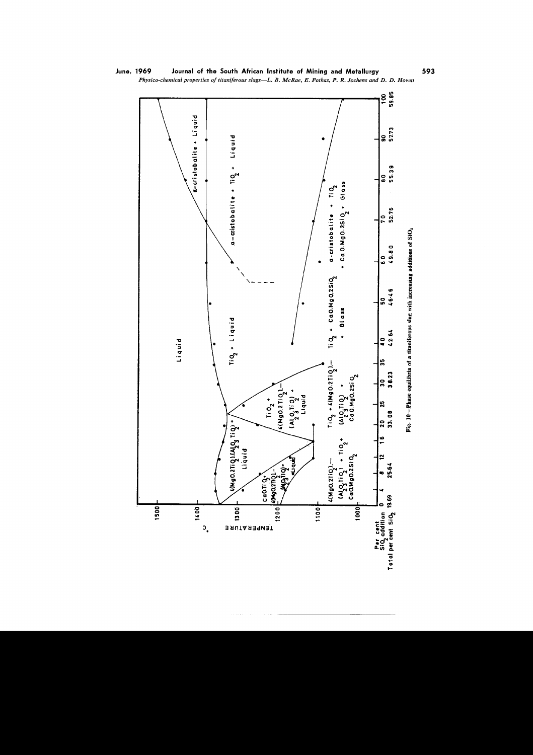